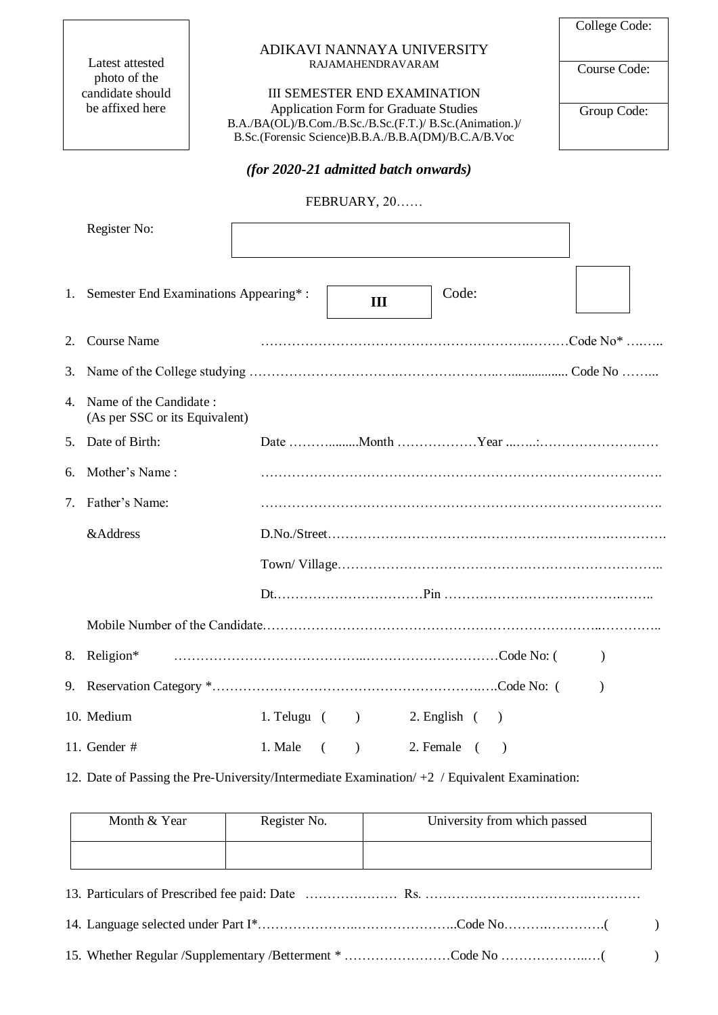Latest attested photo of the candidate should be affixed here

### ADIKAVI NANNAYA UNIVERSITY RAJAMAHENDRAVARAM

III SEMESTER END EXAMINATION Application Form for Graduate Studies B.A./BA(OL)/B.Com./B.Sc./B.Sc.(F.T.)/ B.Sc.(Animation.)/ B.Sc.(Forensic Science)B.B.A./B.B.A(DM)/B.C.A/B.Voc

## *(for 2020-21 admitted batch onwards)*

## FEBRUARY, 20……

|                | Register No:                                             |                   |          |           |                  |  |           |
|----------------|----------------------------------------------------------|-------------------|----------|-----------|------------------|--|-----------|
| 1.             | Semester End Examinations Appearing*:                    |                   |          | III       | Code:            |  |           |
| 2.             | <b>Course Name</b>                                       |                   |          |           |                  |  |           |
| 3.             |                                                          |                   |          |           |                  |  |           |
| $\overline{4}$ | Name of the Candidate:<br>(As per SSC or its Equivalent) |                   |          |           |                  |  |           |
| 5.             | Date of Birth:                                           |                   |          |           |                  |  |           |
| 6.             | Mother's Name:                                           |                   |          |           |                  |  |           |
| 7.             | Father's Name:                                           |                   |          |           |                  |  |           |
|                | &Address                                                 |                   |          |           |                  |  |           |
|                |                                                          |                   |          |           |                  |  |           |
|                |                                                          |                   |          |           |                  |  |           |
|                |                                                          |                   |          |           |                  |  |           |
|                | 8. Religion*                                             |                   |          |           |                  |  | $\lambda$ |
| 9.             |                                                          |                   |          |           |                  |  |           |
|                | 10. Medium                                               | 1. Telugu $($ $)$ |          |           | $2.$ English $($ |  |           |
|                | 11. Gender #                                             | 1. Male           | $\left($ | $\lambda$ | 2. Female (      |  |           |

12. Date of Passing the Pre-University/Intermediate Examination/ +2 / Equivalent Examination:

| Month & Year | Register No. | University from which passed |
|--------------|--------------|------------------------------|
|              |              |                              |

| 15. Whether Regular /Supplementary /Betterment * Code No |  |
|----------------------------------------------------------|--|

Course Code:

Group Code: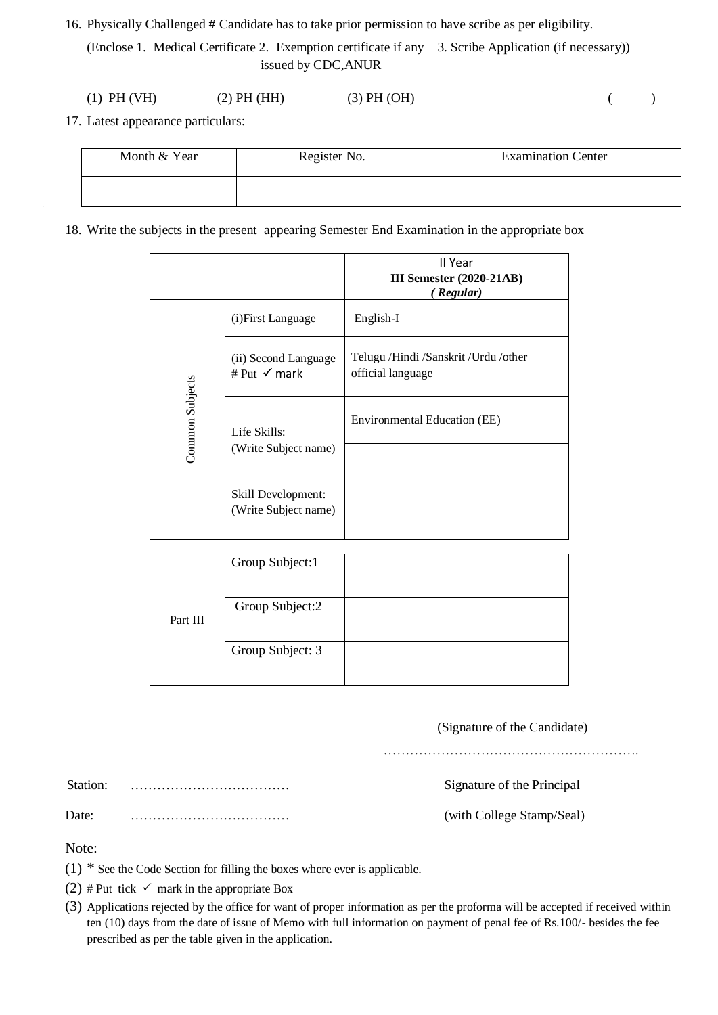16. Physically Challenged # Candidate has to take prior permission to have scribe as per eligibility.

(Enclose 1. Medical Certificate 2. Exemption certificate if any 3. Scribe Application (if necessary)) issued by CDC,ANUR

| $(1)$ PH $(VH)$ | (2) PH (HH) | $(3)$ PH $(OH)$ |  |
|-----------------|-------------|-----------------|--|
|-----------------|-------------|-----------------|--|

17. Latest appearance particulars:

| Month & Year | Register No. | <b>Examination Center</b> |
|--------------|--------------|---------------------------|
|              |              |                           |

18. Write the subjects in the present appearing Semester End Examination in the appropriate box

|                 |                                            | II Year                                                   |
|-----------------|--------------------------------------------|-----------------------------------------------------------|
|                 |                                            | <b>III Semester (2020-21AB)</b><br>(Regular)              |
|                 | (i)First Language                          | English-I                                                 |
|                 | (ii) Second Language<br># Put √ mark       | Telugu /Hindi /Sanskrit /Urdu /other<br>official language |
| Common Subjects | Life Skills:                               | Environmental Education (EE)                              |
|                 | (Write Subject name)                       |                                                           |
|                 | Skill Development:<br>(Write Subject name) |                                                           |
|                 |                                            |                                                           |
|                 | Group Subject:1                            |                                                           |
| Part III        | Group Subject:2                            |                                                           |
|                 | Group Subject: 3                           |                                                           |

(Signature of the Candidate)

………………………………………………….

Station: ……………………………… Signature of the Principal

Date: ……………………………… (with College Stamp/Seal)

Note:

- $(1)$  \* See the Code Section for filling the boxes where ever is applicable.
- (2) # Put tick  $\checkmark$  mark in the appropriate Box
- (3) Applications rejected by the office for want of proper information as per the proforma will be accepted if received within ten (10) days from the date of issue of Memo with full information on payment of penal fee of Rs.100/- besides the fee prescribed as per the table given in the application.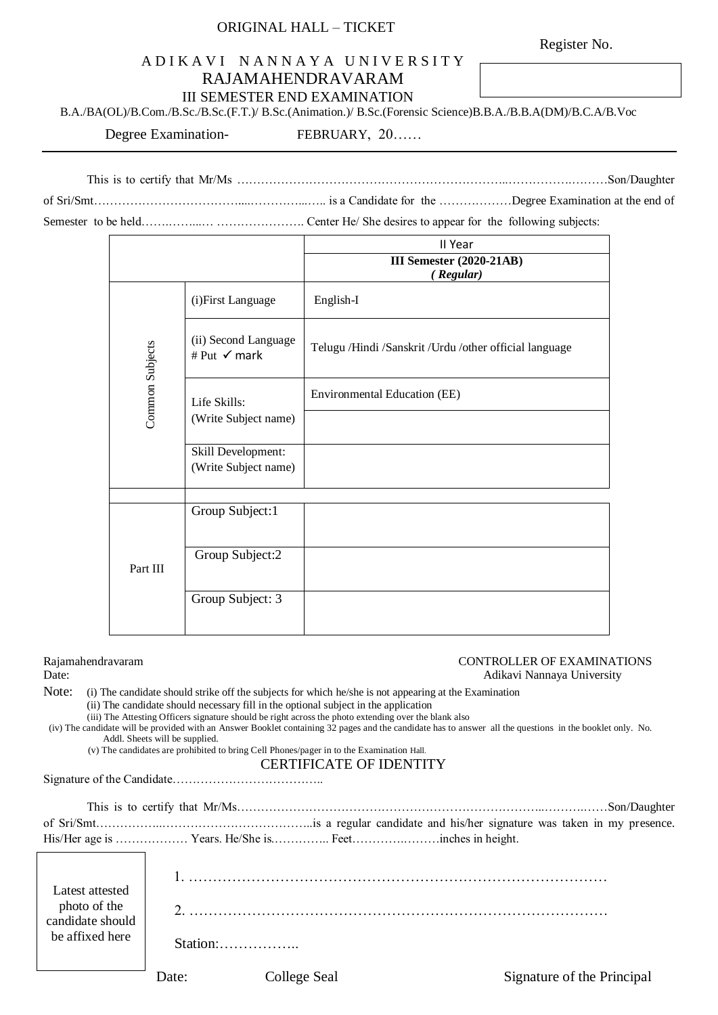# ORIGINAL HALL – TICKET

Register No.

# A D I K A V I N A N N A Y A U N I V E R S I T Y RAJAMAHENDRAVARAM

III SEMESTER END EXAMINATION

B.A./BA(OL)/B.Com./B.Sc./B.Sc.(F.T.)/ B.Sc.(Animation.)/ B.Sc.(Forensic Science)B.B.A./B.B.A(DM)/B.C.A/B.Voc

Degree Examination-<br>FEBRUARY, 20……

This is to certify that Mr/Ms …………………………………………………………..…………….………Son/Daughter of Sri/Smt………………………………....…………...….. is a Candidate for the ………………Degree Examination at the end of

Semester to be held…….……...… …………………. Center He/ She desires to appear for the following subjects:

|                 |                                                 | II Year                                                |  |  |
|-----------------|-------------------------------------------------|--------------------------------------------------------|--|--|
|                 |                                                 | <b>III Semester (2020-21AB)</b>                        |  |  |
|                 |                                                 | (Regular)                                              |  |  |
|                 | (i)First Language                               | English-I                                              |  |  |
| Common Subjects | (ii) Second Language<br># Put $\checkmark$ mark | Telugu /Hindi /Sanskrit /Urdu /other official language |  |  |
|                 | Life Skills:                                    | Environmental Education (EE)                           |  |  |
|                 | (Write Subject name)                            |                                                        |  |  |
|                 | Skill Development:<br>(Write Subject name)      |                                                        |  |  |
|                 |                                                 |                                                        |  |  |
|                 | Group Subject:1                                 |                                                        |  |  |
| Part III        | Group Subject:2                                 |                                                        |  |  |
|                 | Group Subject: 3                                |                                                        |  |  |

### Rajamahendravaram CONTROLLER OF EXAMINATIONS

# Date: Adikavi Nannaya University

Note: (i) The candidate should strike off the subjects for which he/she is not appearing at the Examination

- (ii) The candidate should necessary fill in the optional subject in the application
- (iii) The Attesting Officers signature should be right across the photo extending over the blank also

(iv) The candidate will be provided with an Answer Booklet containing 32 pages and the candidate has to answer all the questions in the booklet only. No. Addl. Sheets will be supplied.

(v) The candidates are prohibited to bring Cell Phones/pager in to the Examination Hall.

# CERTIFICATE OF IDENTITY

Signature of the Candidate………………………………..

| Latest attested<br>photo of the<br>candidate should<br>be affixed here | Station: |
|------------------------------------------------------------------------|----------|

Date: College Seal Signature of the Principal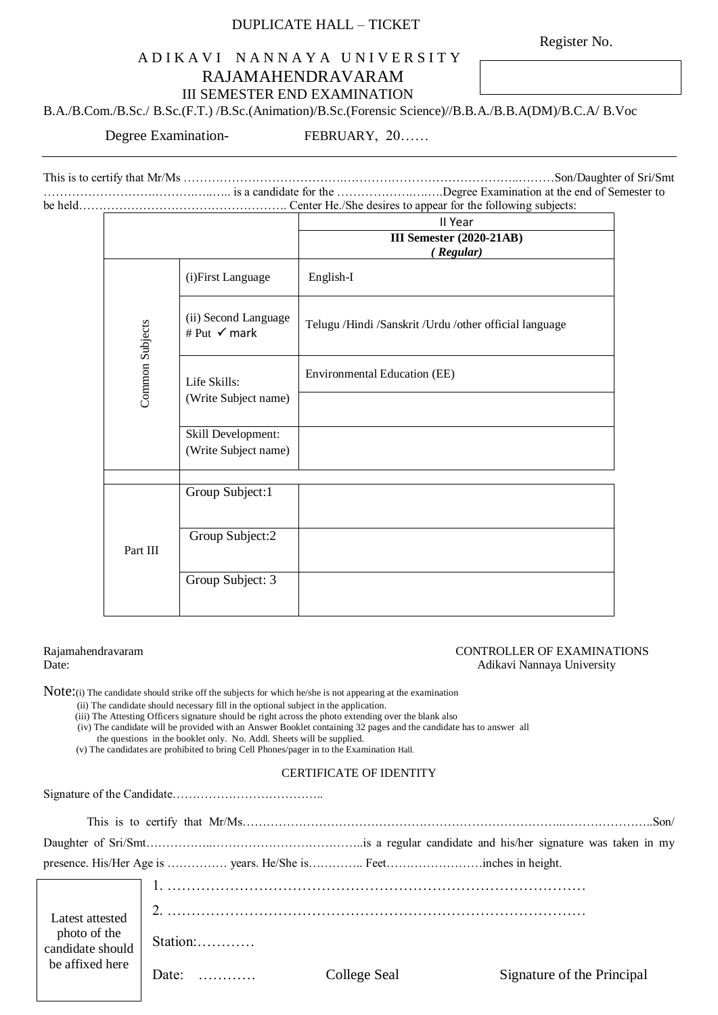## DUPLICATE HALL – TICKET

Register No.

# A D I K A V I N A N N A Y A U N I V E R S I T Y RAJAMAHENDRAVARAM III SEMESTER END EXAMINATION

B.A./B.Com./B.Sc./ B.Sc.(F.T.) /B.Sc.(Animation)/B.Sc.(Forensic Science)//B.B.A./B.B.A(DM)/B.C.A/ B.Voc

Degree Examination-<br>
FEBRUARY, 20……

This is to certify that Mr/Ms ………………………………….……………………………………..………Son/Daughter of Sri/Smt ……………………….……….…..….. is a candidate for the ……………….….….Degree Examination at the end of Semester to be held……………………………………………. Center He./She desires to appear for the following subjects:

|                 |                                      | II Year                                                |  |
|-----------------|--------------------------------------|--------------------------------------------------------|--|
|                 |                                      | <b>III Semester (2020-21AB)</b><br>(Regular)           |  |
|                 | (i) First Language                   | English-I                                              |  |
|                 | (ii) Second Language<br># Put √ mark | Telugu /Hindi /Sanskrit /Urdu /other official language |  |
| Common Subjects | Life Skills:<br>(Write Subject name) | <b>Environmental Education (EE)</b>                    |  |
|                 |                                      |                                                        |  |
|                 | Skill Development:                   |                                                        |  |
|                 | (Write Subject name)                 |                                                        |  |
|                 |                                      |                                                        |  |
|                 | Group Subject:1                      |                                                        |  |
|                 | Group Subject:2                      |                                                        |  |
| Part III        |                                      |                                                        |  |
|                 | Group Subject: 3                     |                                                        |  |

#### Rajamahendravaram CONTROLLER OF EXAMINATIONS Date: Adikavi Nannaya University

Note: (i) The candidate should strike off the subjects for which he/she is not appearing at the examination

(ii) The candidate should necessary fill in the optional subject in the application.

(iii) The Attesting Officers signature should be right across the photo extending over the blank also

(iv) The candidate will be provided with an Answer Booklet containing 32 pages and the candidate has to answer all

the questions in the booklet only. No. Addl. Sheets will be supplied.

(v) The candidates are prohibited to bring Cell Phones/pager in to the Examination Hall.

#### CERTIFICATE OF IDENTITY

Signature of the Candidate………………………………..

| Latest attested                  |                              |              |                            |
|----------------------------------|------------------------------|--------------|----------------------------|
| photo of the<br>candidate should | Station:                     |              |                            |
| be affixed here                  | Date: $\dots\dots\dots\dots$ | College Seal | Signature of the Principal |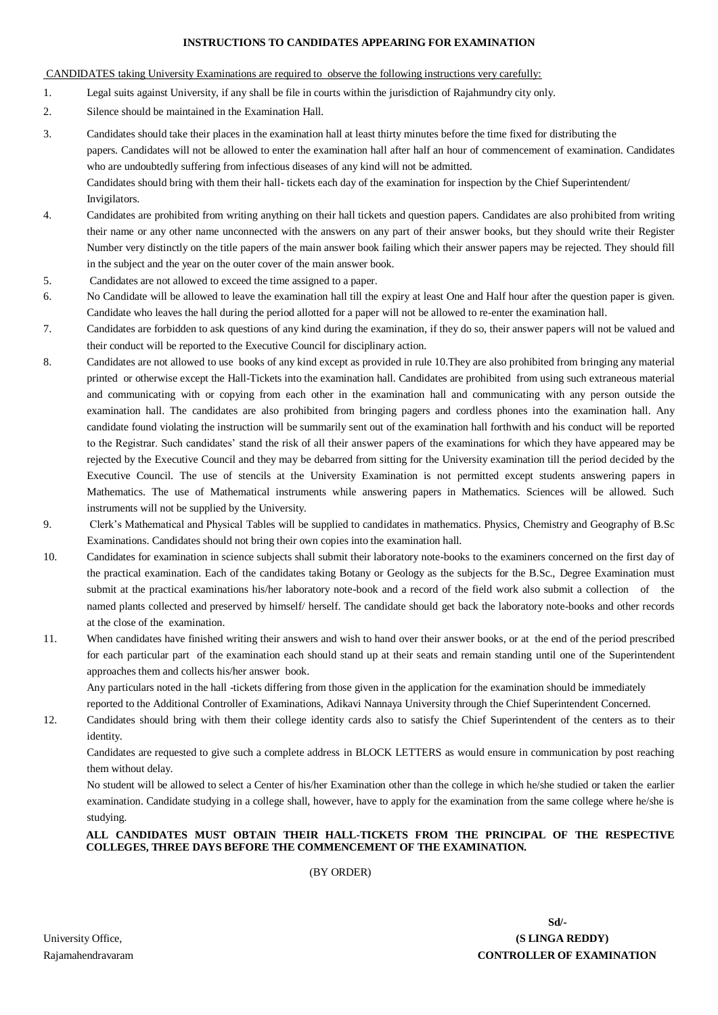#### **INSTRUCTIONS TO CANDIDATES APPEARING FOR EXAMINATION**

### CANDIDATES taking University Examinations are required to observe the following instructions very carefully:

- 1. Legal suits against University, if any shall be file in courts within the jurisdiction of Rajahmundry city only.
- 2. Silence should be maintained in the Examination Hall.
- 3. Candidates should take their places in the examination hall at least thirty minutes before the time fixed for distributing the papers. Candidates will not be allowed to enter the examination hall after half an hour of commencement of examination. Candidates who are undoubtedly suffering from infectious diseases of any kind will not be admitted. Candidates should bring with them their hall- tickets each day of the examination for inspection by the Chief Superintendent/ Invigilators.
- 4. Candidates are prohibited from writing anything on their hall tickets and question papers. Candidates are also prohibited from writing their name or any other name unconnected with the answers on any part of their answer books, but they should write their Register Number very distinctly on the title papers of the main answer book failing which their answer papers may be rejected. They should fill in the subject and the year on the outer cover of the main answer book.
- 5. Candidates are not allowed to exceed the time assigned to a paper.
- 6. No Candidate will be allowed to leave the examination hall till the expiry at least One and Half hour after the question paper is given. Candidate who leaves the hall during the period allotted for a paper will not be allowed to re-enter the examination hall.
- 7. Candidates are forbidden to ask questions of any kind during the examination, if they do so, their answer papers will not be valued and their conduct will be reported to the Executive Council for disciplinary action.
- 8. Candidates are not allowed to use books of any kind except as provided in rule 10.They are also prohibited from bringing any material printed or otherwise except the Hall-Tickets into the examination hall. Candidates are prohibited from using such extraneous material and communicating with or copying from each other in the examination hall and communicating with any person outside the examination hall. The candidates are also prohibited from bringing pagers and cordless phones into the examination hall. Any candidate found violating the instruction will be summarily sent out of the examination hall forthwith and his conduct will be reported to the Registrar. Such candidates' stand the risk of all their answer papers of the examinations for which they have appeared may be rejected by the Executive Council and they may be debarred from sitting for the University examination till the period decided by the Executive Council. The use of stencils at the University Examination is not permitted except students answering papers in Mathematics. The use of Mathematical instruments while answering papers in Mathematics. Sciences will be allowed. Such instruments will not be supplied by the University.
- 9. Clerk's Mathematical and Physical Tables will be supplied to candidates in mathematics. Physics, Chemistry and Geography of B.Sc Examinations. Candidates should not bring their own copies into the examination hall.
- 10. Candidates for examination in science subjects shall submit their laboratory note-books to the examiners concerned on the first day of the practical examination. Each of the candidates taking Botany or Geology as the subjects for the B.Sc., Degree Examination must submit at the practical examinations his/her laboratory note-book and a record of the field work also submit a collection of the named plants collected and preserved by himself/ herself. The candidate should get back the laboratory note-books and other records at the close of the examination.
- 11. When candidates have finished writing their answers and wish to hand over their answer books, or at the end of the period prescribed for each particular part of the examination each should stand up at their seats and remain standing until one of the Superintendent approaches them and collects his/her answer book.

Any particulars noted in the hall -tickets differing from those given in the application for the examination should be immediately reported to the Additional Controller of Examinations, Adikavi Nannaya University through the Chief Superintendent Concerned.

12. Candidates should bring with them their college identity cards also to satisfy the Chief Superintendent of the centers as to their identity.

Candidates are requested to give such a complete address in BLOCK LETTERS as would ensure in communication by post reaching them without delay.

No student will be allowed to select a Center of his/her Examination other than the college in which he/she studied or taken the earlier examination. Candidate studying in a college shall, however, have to apply for the examination from the same college where he/she is studying.

#### **ALL CANDIDATES MUST OBTAIN THEIR HALL-TICKETS FROM THE PRINCIPAL OF THE RESPECTIVE COLLEGES, THREE DAYS BEFORE THE COMMENCEMENT OF THE EXAMINATION.**

(BY ORDER)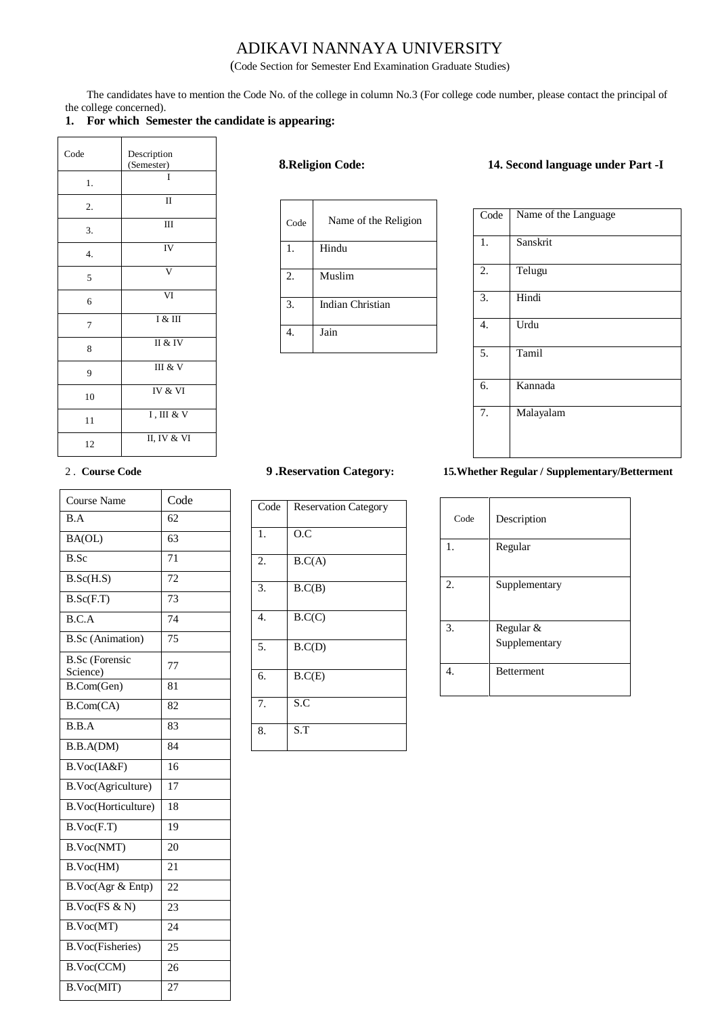# ADIKAVI NANNAYA UNIVERSITY

(Code Section for Semester End Examination Graduate Studies)

The candidates have to mention the Code No. of the college in column No.3 (For college code number, please contact the principal of the college concerned).

### **1. For which Semester the candidate is appearing:**

| Code | Description<br>(Semester) |
|------|---------------------------|
| 1.   | Ī                         |
| 2.   | $\rm II$                  |
| 3.   | Ш                         |
| 4.   | IV                        |
| 5    | V                         |
| 6    | VI                        |
| 7    | I & III                   |
| 8    | II & IV                   |
| 9    | III & V                   |
| 10   | IV & VI                   |
| 11   | $I$ , III & V             |
| 12   | $\overline{II, IV}$ & VI  |

| Code | Name of the Religion    |
|------|-------------------------|
| 1.   | Hindu                   |
| 2.   | Muslim                  |
| 3.   | <b>Indian Christian</b> |
|      | Jain                    |

### **8.Religion Code: 14. Second language under Part -I**

| Code             | Name of the Language |
|------------------|----------------------|
| 1.               | Sanskrit             |
| 2.               | Telugu               |
| 3.               | Hindi                |
| $\overline{4}$ . | $\overline{U}$ rdu   |
| 5.               | Tamil                |
| 6.               | Kannada              |
| 7.               | Malayalam            |

| <b>Course Name</b>                | Code            |
|-----------------------------------|-----------------|
| B.A                               | 62              |
| BA(OL)                            | 63              |
| $\overline{B.Sc}$                 | 71              |
| B.Sc(H.S)                         | 72              |
| B.Sc(F.T)                         | 73              |
| B.C.A                             | 74              |
| <b>B.Sc</b> (Animation)           | 75              |
| <b>B.Sc</b> (Forensic<br>Science) | 77              |
| B.Com(Gen)                        | 81              |
| B.Com(CA)                         | 82              |
| B.B.A                             | 83              |
| $\overline{B.B.A}(DM)$            | 84              |
| B.Voc(IA&F)                       | $\overline{16}$ |
| B.Voc(Agriculture)                | 17              |
| B.Voc(Horticulture)               | 18              |
| B.Voc(F.T)                        | 19              |
| B.Voc(NMT)                        | 20              |
| B.Voc(HM)                         | 21              |
| B.Voc(Agr & Entp)                 | 22              |
| B.Voc(FS & N)                     | 23              |
| B.Voc(MT)                         | 24              |
| <b>B.Voc(Fisheries)</b>           | 25              |
| B.Voc(CCM)                        | 26              |
| B.Voc(MIT)                        | 27              |

| Code             | <b>Reservation Category</b> |
|------------------|-----------------------------|
| $\mathbf{1}$ .   | $\overline{O}$ .C           |
| 2.               | B.C(A)                      |
| $\overline{3}$ . | B.C(B)                      |
| $\overline{4}$ . | B.C(C)                      |
| 5.               | B.C(D)                      |
| 6.               | B.C(E)                      |
| 7.               | S.C                         |
| 8.               | $\overline{\text{S}}$ .T    |

## 2 . **Course Code 9 .Reservation Category: 15.Whether Regular / Supplementary/Betterment**

| Code             | Description                |
|------------------|----------------------------|
| 1.               | Regular                    |
| 2.               | Supplementary              |
| 3.               | Regular &<br>Supplementary |
| $\overline{4}$ . | <b>Betterment</b>          |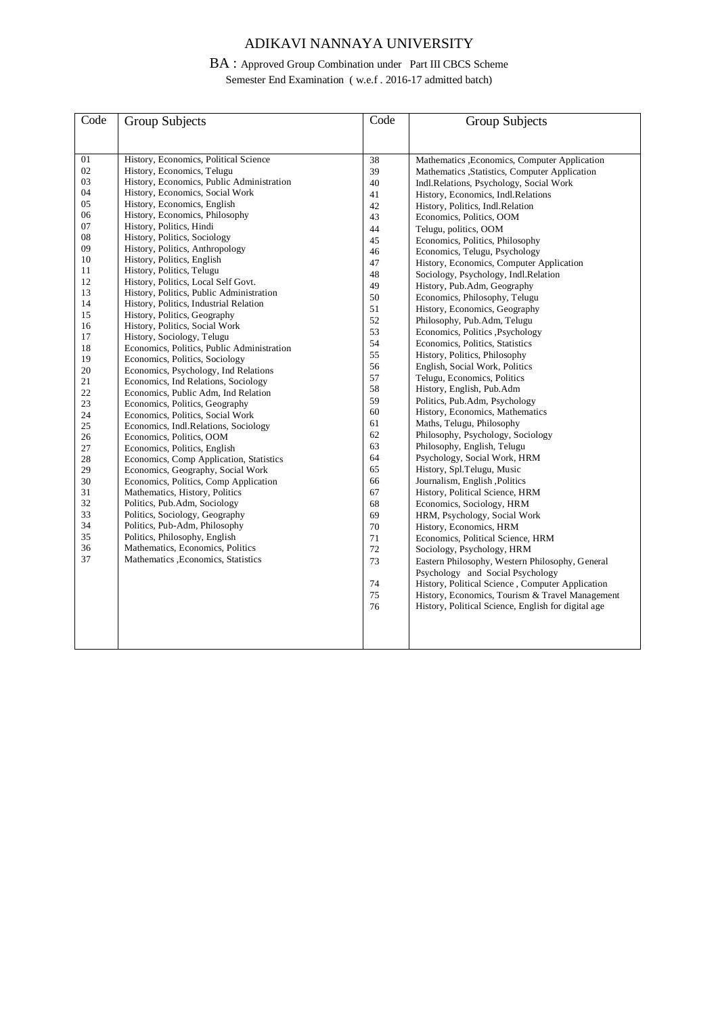# ADIKAVI NANNAYA UNIVERSITY

# BA : Approved Group Combination under Part III CBCS Scheme

Semester End Examination ( w.e.f . 2016-17 admitted batch)

| Code     | <b>Group Subjects</b>                                                      | Code | <b>Group Subjects</b>                               |
|----------|----------------------------------------------------------------------------|------|-----------------------------------------------------|
|          |                                                                            |      |                                                     |
| 01       | History, Economics, Political Science                                      | 38   | Mathematics , Economics, Computer Application       |
| 02       | History, Economics, Telugu                                                 | 39   | Mathematics , Statistics, Computer Application      |
| 03       | History, Economics, Public Administration                                  | 40   | Indl.Relations, Psychology, Social Work             |
| 04       | History, Economics, Social Work                                            | 41   | History, Economics, Indl.Relations                  |
| 05       | History, Economics, English                                                | 42   | History, Politics, Indl. Relation                   |
| 06       | History, Economics, Philosophy                                             | 43   | Economics, Politics, OOM                            |
| 07       | History, Politics, Hindi                                                   | 44   | Telugu, politics, OOM                               |
| 08       | History, Politics, Sociology                                               | 45   | Economics, Politics, Philosophy                     |
| 09       | History, Politics, Anthropology                                            | 46   | Economics, Telugu, Psychology                       |
| 10       | History, Politics, English                                                 | 47   | History, Economics, Computer Application            |
| 11       | History, Politics, Telugu                                                  | 48   | Sociology, Psychology, Indl.Relation                |
| 12       | History, Politics, Local Self Govt.                                        | 49   | History, Pub.Adm, Geography                         |
| 13       | History, Politics, Public Administration                                   | 50   | Economics, Philosophy, Telugu                       |
| 14       | History, Politics, Industrial Relation                                     | 51   | History, Economics, Geography                       |
| 15       | History, Politics, Geography                                               | 52   | Philosophy, Pub.Adm, Telugu                         |
| 16       | History, Politics, Social Work                                             | 53   | Economics, Politics , Psychology                    |
| 17       | History, Sociology, Telugu                                                 | 54   | Economics, Politics, Statistics                     |
| 18       | Economics, Politics, Public Administration                                 | 55   | History, Politics, Philosophy                       |
| 19<br>20 | Economics, Politics, Sociology                                             | 56   | English, Social Work, Politics                      |
| 21       | Economics, Psychology, Ind Relations                                       | 57   | Telugu, Economics, Politics                         |
| 22       | Economics, Ind Relations, Sociology<br>Economics, Public Adm, Ind Relation | 58   | History, English, Pub.Adm                           |
| 23       | Economics, Politics, Geography                                             | 59   | Politics, Pub.Adm, Psychology                       |
| 24       | Economics, Politics, Social Work                                           | 60   | History, Economics, Mathematics                     |
| 25       | Economics, Indl.Relations, Sociology                                       | 61   | Maths, Telugu, Philosophy                           |
| 26       | Economics, Politics, OOM                                                   | 62   | Philosophy, Psychology, Sociology                   |
| 27       | Economics, Politics, English                                               | 63   | Philosophy, English, Telugu                         |
| 28       | Economics, Comp Application, Statistics                                    | 64   | Psychology, Social Work, HRM                        |
| 29       | Economics, Geography, Social Work                                          | 65   | History, Spl.Telugu, Music                          |
| 30       | Economics, Politics, Comp Application                                      | 66   | Journalism, English, Politics                       |
| 31       | Mathematics, History, Politics                                             | 67   | History, Political Science, HRM                     |
| 32       | Politics, Pub.Adm, Sociology                                               | 68   | Economics, Sociology, HRM                           |
| 33       | Politics, Sociology, Geography                                             | 69   | HRM, Psychology, Social Work                        |
| 34       | Politics, Pub-Adm, Philosophy                                              | 70   | History, Economics, HRM                             |
| 35       | Politics, Philosophy, English                                              | 71   | Economics, Political Science, HRM                   |
| 36       | Mathematics, Economics, Politics                                           | 72   | Sociology, Psychology, HRM                          |
| 37       | Mathematics , Economics, Statistics                                        | 73   | Eastern Philosophy, Western Philosophy, General     |
|          |                                                                            |      | Psychology and Social Psychology                    |
|          |                                                                            | 74   | History, Political Science, Computer Application    |
|          |                                                                            | 75   | History, Economics, Tourism & Travel Management     |
|          |                                                                            | 76   | History, Political Science, English for digital age |
|          |                                                                            |      |                                                     |
|          |                                                                            |      |                                                     |
|          |                                                                            |      |                                                     |
|          |                                                                            |      |                                                     |